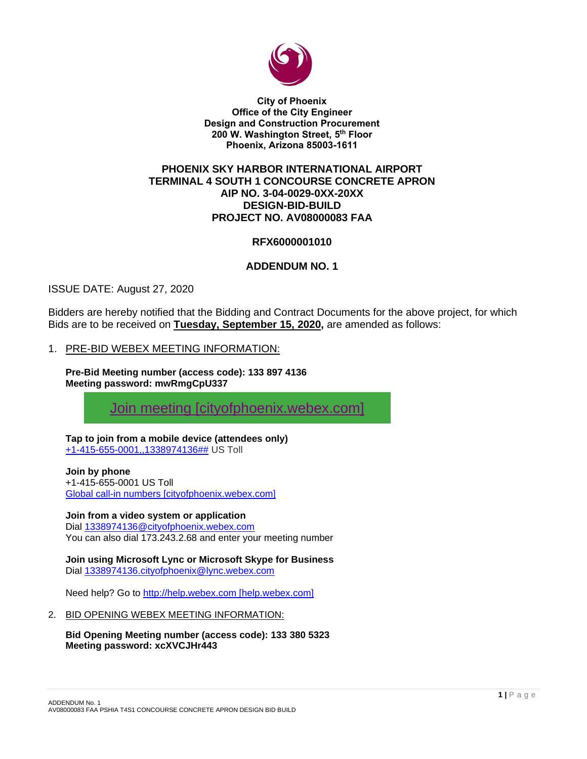

**City of Phoenix Office of the City Engineer Design and Construction Procurement 200 W. Washington Street, 5 th Floor Phoenix, Arizona 85003-1611**

## **PHOENIX SKY HARBOR INTERNATIONAL AIRPORT TERMINAL 4 SOUTH 1 CONCOURSE CONCRETE APRON AIP NO. 3-04-0029-0XX-20XX DESIGN-BID-BUILD PROJECT NO. AV08000083 FAA**

# **RFX6000001010**

# **ADDENDUM NO. 1**

ISSUE DATE: August 27, 2020

Bidders are hereby notified that the Bidding and Contract Documents for the above project, for which Bids are to be received on **Tuesday, September 15, 2020,** are amended as follows:

## 1. PRE-BID WEBEX MEETING INFORMATION:

**Pre-Bid Meeting number (access code): 133 897 4136 Meeting password: mwRmgCpU337**

[Join meeting \[cityofphoenix.webex.com\]](https://urldefense.com/v3/__https:/cityofphoenix.webex.com/cityofphoenix/j.php?MTID=m857a4e946964a3bd74293451307c6470__;!!LkjWUF49MRd51_ry!OTAVG_e2ChTsGksDWxq8nXVMuhBo4J-bE_YpIME85clGBOHYhZxjJXxf6JqCyTOOACO-UKLk$)

**Tap to join from a mobile device (attendees only)** [+1-415-655-0001,,1338974136##](tel:%2B1-415-655-0001,,*01*1338974136%23%23*01*) US Toll

# **Join by phone**

+1-415-655-0001 US Toll [Global call-in numbers \[cityofphoenix.webex.com\]](https://urldefense.com/v3/__https:/cityofphoenix.webex.com/cityofphoenix/globalcallin.php?MTID=md7211cf773a31c75876f66f7a39c4ac3__;!!LkjWUF49MRd51_ry!OTAVG_e2ChTsGksDWxq8nXVMuhBo4J-bE_YpIME85clGBOHYhZxjJXxf6JqCyTOOAKyIlGlp$)

### **Join from a video system or application**

Dial [1338974136@cityofphoenix.webex.com](%20sip:1338974136@cityofphoenix.webex.com) You can also dial 173.243.2.68 and enter your meeting number

**Join using Microsoft Lync or Microsoft Skype for Business** Dial [1338974136.cityofphoenix@lync.webex.com](%20sip:1338974136.cityofphoenix@lync.webex.com)

Need help? Go to [http://help.webex.com \[help.webex.com\]](https://urldefense.com/v3/__http:/help.webex.com__;!!LkjWUF49MRd51_ry!MdaLLwbu4tsapuPfdM2oCBeM4YNjpT904qQXyPB6G4Vgd5VazDVwmeqrUC1VuDMNpfot1ku4$)

### 2. BID OPENING WEBEX MEETING INFORMATION:

**Bid Opening Meeting number (access code): 133 380 5323 Meeting password: xcXVCJHr443**